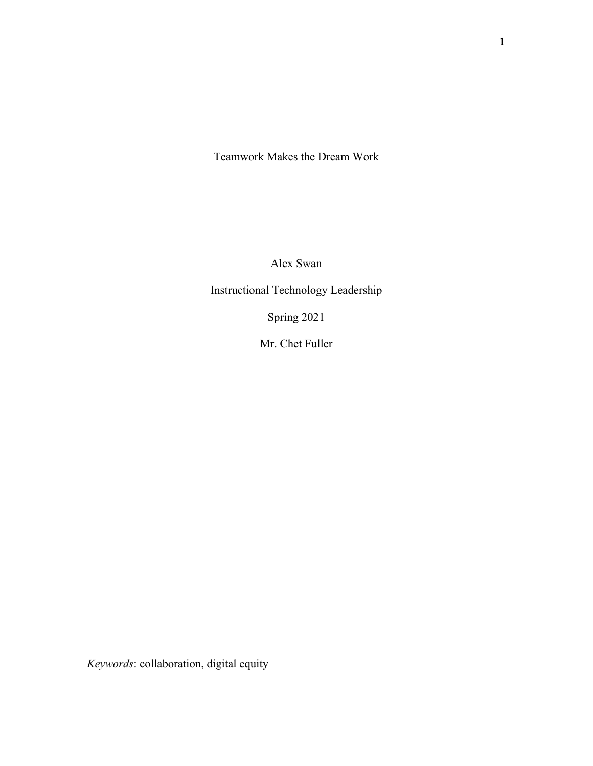Teamwork Makes the Dream Work

Alex Swan

Instructional Technology Leadership

Spring 2021

Mr. Chet Fuller

*Keywords*: collaboration, digital equity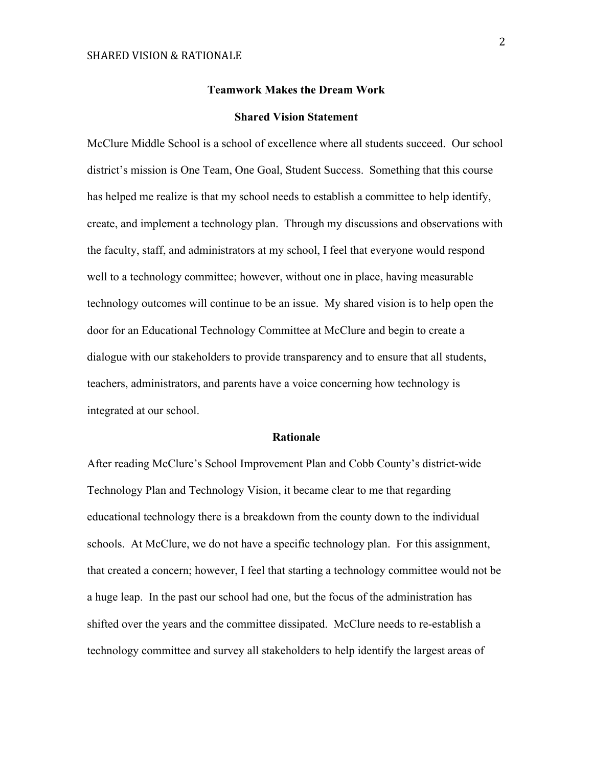#### **Teamwork Makes the Dream Work**

### **Shared Vision Statement**

McClure Middle School is a school of excellence where all students succeed. Our school district's mission is One Team, One Goal, Student Success. Something that this course has helped me realize is that my school needs to establish a committee to help identify, create, and implement a technology plan. Through my discussions and observations with the faculty, staff, and administrators at my school, I feel that everyone would respond well to a technology committee; however, without one in place, having measurable technology outcomes will continue to be an issue. My shared vision is to help open the door for an Educational Technology Committee at McClure and begin to create a dialogue with our stakeholders to provide transparency and to ensure that all students, teachers, administrators, and parents have a voice concerning how technology is integrated at our school.

#### **Rationale**

After reading McClure's School Improvement Plan and Cobb County's district-wide Technology Plan and Technology Vision, it became clear to me that regarding educational technology there is a breakdown from the county down to the individual schools. At McClure, we do not have a specific technology plan. For this assignment, that created a concern; however, I feel that starting a technology committee would not be a huge leap. In the past our school had one, but the focus of the administration has shifted over the years and the committee dissipated. McClure needs to re-establish a technology committee and survey all stakeholders to help identify the largest areas of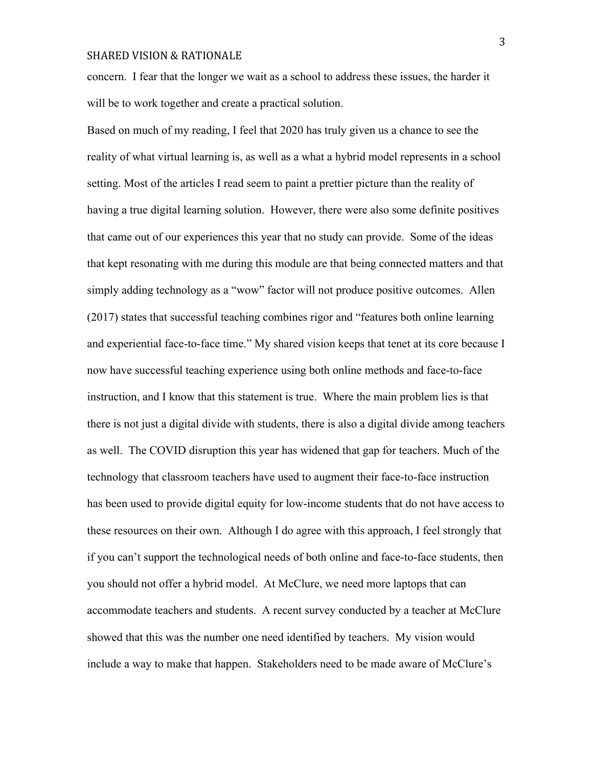concern. I fear that the longer we wait as a school to address these issues, the harder it will be to work together and create a practical solution.

Based on much of my reading, I feel that 2020 has truly given us a chance to see the reality of what virtual learning is, as well as a what a hybrid model represents in a school setting. Most of the articles I read seem to paint a prettier picture than the reality of having a true digital learning solution. However, there were also some definite positives that came out of our experiences this year that no study can provide. Some of the ideas that kept resonating with me during this module are that being connected matters and that simply adding technology as a "wow" factor will not produce positive outcomes. Allen (2017) states that successful teaching combines rigor and "features both online learning and experiential face-to-face time." My shared vision keeps that tenet at its core because I now have successful teaching experience using both online methods and face-to-face instruction, and I know that this statement is true. Where the main problem lies is that there is not just a digital divide with students, there is also a digital divide among teachers as well. The COVID disruption this year has widened that gap for teachers. Much of the technology that classroom teachers have used to augment their face-to-face instruction has been used to provide digital equity for low-income students that do not have access to these resources on their own. Although I do agree with this approach, I feel strongly that if you can't support the technological needs of both online and face-to-face students, then you should not offer a hybrid model. At McClure, we need more laptops that can accommodate teachers and students. A recent survey conducted by a teacher at McClure showed that this was the number one need identified by teachers. My vision would include a way to make that happen. Stakeholders need to be made aware of McClure's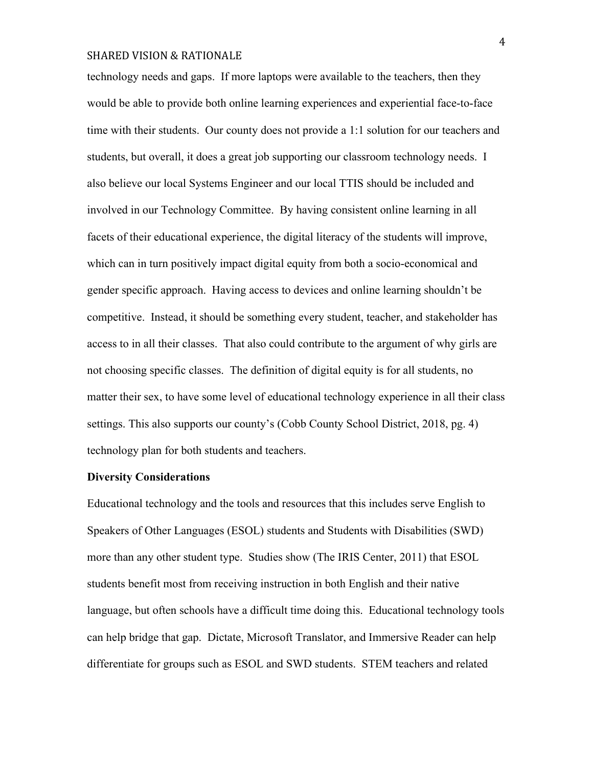technology needs and gaps. If more laptops were available to the teachers, then they would be able to provide both online learning experiences and experiential face-to-face time with their students. Our county does not provide a 1:1 solution for our teachers and students, but overall, it does a great job supporting our classroom technology needs. I also believe our local Systems Engineer and our local TTIS should be included and involved in our Technology Committee. By having consistent online learning in all facets of their educational experience, the digital literacy of the students will improve, which can in turn positively impact digital equity from both a socio-economical and gender specific approach. Having access to devices and online learning shouldn't be competitive. Instead, it should be something every student, teacher, and stakeholder has access to in all their classes. That also could contribute to the argument of why girls are not choosing specific classes. The definition of digital equity is for all students, no matter their sex, to have some level of educational technology experience in all their class settings. This also supports our county's (Cobb County School District, 2018, pg. 4) technology plan for both students and teachers.

### **Diversity Considerations**

Educational technology and the tools and resources that this includes serve English to Speakers of Other Languages (ESOL) students and Students with Disabilities (SWD) more than any other student type. Studies show (The IRIS Center, 2011) that ESOL students benefit most from receiving instruction in both English and their native language, but often schools have a difficult time doing this. Educational technology tools can help bridge that gap. Dictate, Microsoft Translator, and Immersive Reader can help differentiate for groups such as ESOL and SWD students. STEM teachers and related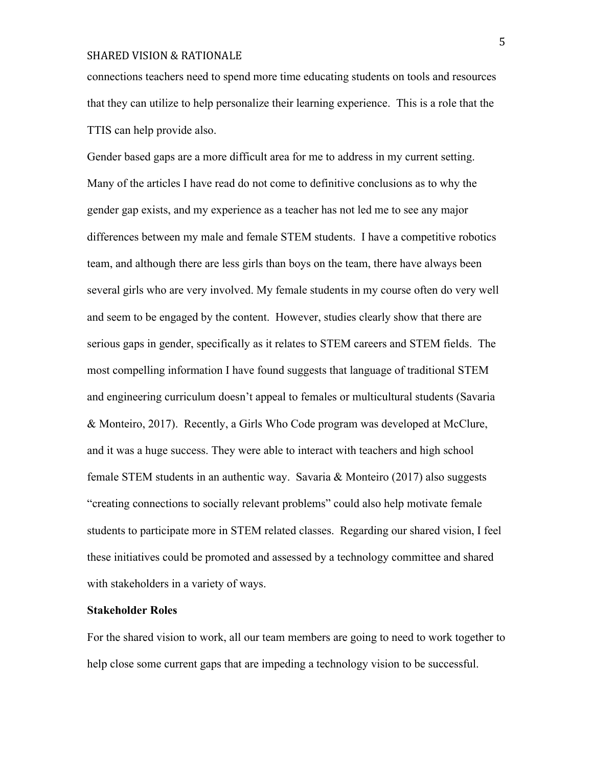connections teachers need to spend more time educating students on tools and resources that they can utilize to help personalize their learning experience. This is a role that the TTIS can help provide also.

Gender based gaps are a more difficult area for me to address in my current setting. Many of the articles I have read do not come to definitive conclusions as to why the gender gap exists, and my experience as a teacher has not led me to see any major differences between my male and female STEM students. I have a competitive robotics team, and although there are less girls than boys on the team, there have always been several girls who are very involved. My female students in my course often do very well and seem to be engaged by the content. However, studies clearly show that there are serious gaps in gender, specifically as it relates to STEM careers and STEM fields. The most compelling information I have found suggests that language of traditional STEM and engineering curriculum doesn't appeal to females or multicultural students (Savaria & Monteiro, 2017). Recently, a Girls Who Code program was developed at McClure, and it was a huge success. They were able to interact with teachers and high school female STEM students in an authentic way. Savaria & Monteiro (2017) also suggests "creating connections to socially relevant problems" could also help motivate female students to participate more in STEM related classes. Regarding our shared vision, I feel these initiatives could be promoted and assessed by a technology committee and shared with stakeholders in a variety of ways.

### **Stakeholder Roles**

For the shared vision to work, all our team members are going to need to work together to help close some current gaps that are impeding a technology vision to be successful.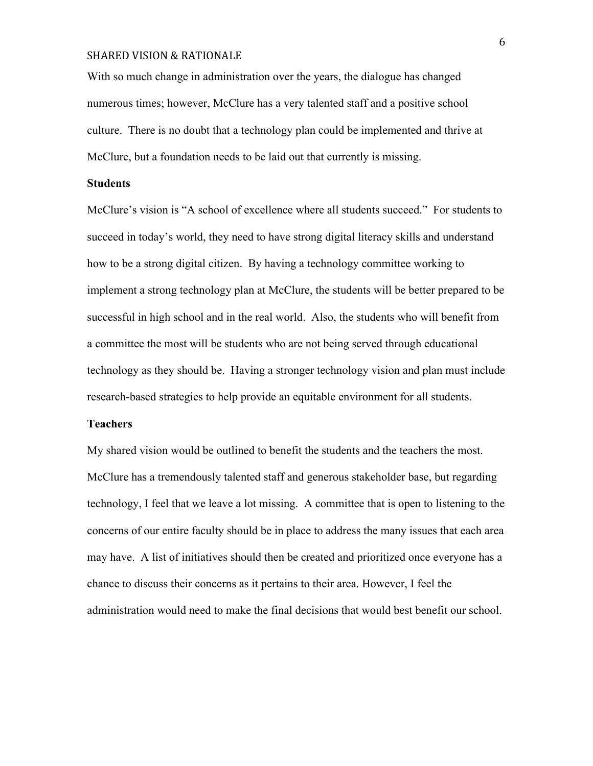With so much change in administration over the years, the dialogue has changed numerous times; however, McClure has a very talented staff and a positive school culture. There is no doubt that a technology plan could be implemented and thrive at McClure, but a foundation needs to be laid out that currently is missing.

### **Students**

McClure's vision is "A school of excellence where all students succeed." For students to succeed in today's world, they need to have strong digital literacy skills and understand how to be a strong digital citizen. By having a technology committee working to implement a strong technology plan at McClure, the students will be better prepared to be successful in high school and in the real world. Also, the students who will benefit from a committee the most will be students who are not being served through educational technology as they should be. Having a stronger technology vision and plan must include research-based strategies to help provide an equitable environment for all students.

#### **Teachers**

My shared vision would be outlined to benefit the students and the teachers the most. McClure has a tremendously talented staff and generous stakeholder base, but regarding technology, I feel that we leave a lot missing. A committee that is open to listening to the concerns of our entire faculty should be in place to address the many issues that each area may have. A list of initiatives should then be created and prioritized once everyone has a chance to discuss their concerns as it pertains to their area. However, I feel the administration would need to make the final decisions that would best benefit our school.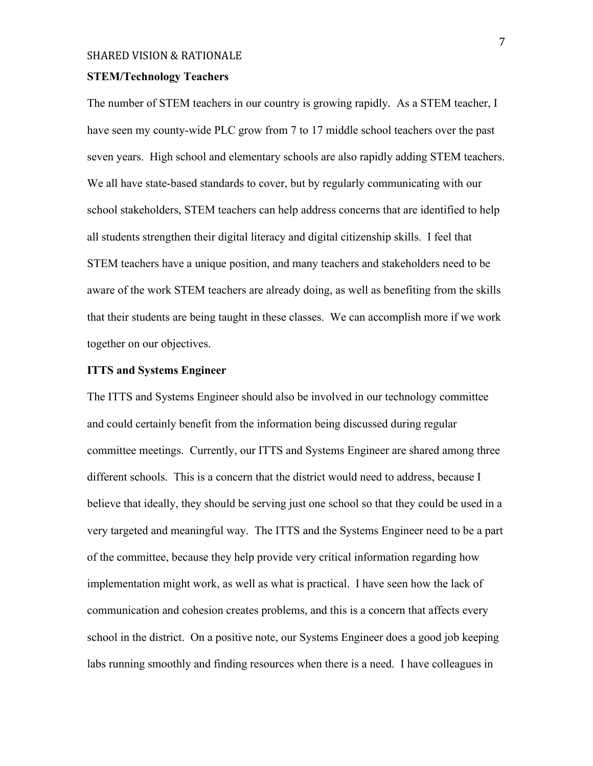# **STEM/Technology Teachers**

The number of STEM teachers in our country is growing rapidly. As a STEM teacher, I have seen my county-wide PLC grow from 7 to 17 middle school teachers over the past seven years. High school and elementary schools are also rapidly adding STEM teachers. We all have state-based standards to cover, but by regularly communicating with our school stakeholders, STEM teachers can help address concerns that are identified to help all students strengthen their digital literacy and digital citizenship skills. I feel that STEM teachers have a unique position, and many teachers and stakeholders need to be aware of the work STEM teachers are already doing, as well as benefiting from the skills that their students are being taught in these classes. We can accomplish more if we work together on our objectives.

## **ITTS and Systems Engineer**

The ITTS and Systems Engineer should also be involved in our technology committee and could certainly benefit from the information being discussed during regular committee meetings. Currently, our ITTS and Systems Engineer are shared among three different schools. This is a concern that the district would need to address, because I believe that ideally, they should be serving just one school so that they could be used in a very targeted and meaningful way. The ITTS and the Systems Engineer need to be a part of the committee, because they help provide very critical information regarding how implementation might work, as well as what is practical. I have seen how the lack of communication and cohesion creates problems, and this is a concern that affects every school in the district. On a positive note, our Systems Engineer does a good job keeping labs running smoothly and finding resources when there is a need. I have colleagues in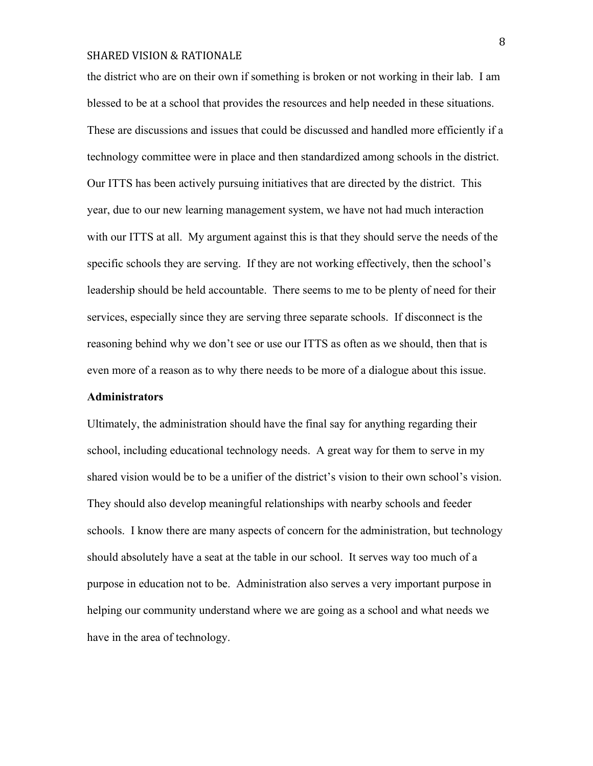the district who are on their own if something is broken or not working in their lab. I am blessed to be at a school that provides the resources and help needed in these situations. These are discussions and issues that could be discussed and handled more efficiently if a technology committee were in place and then standardized among schools in the district. Our ITTS has been actively pursuing initiatives that are directed by the district. This year, due to our new learning management system, we have not had much interaction with our ITTS at all. My argument against this is that they should serve the needs of the specific schools they are serving. If they are not working effectively, then the school's leadership should be held accountable. There seems to me to be plenty of need for their services, especially since they are serving three separate schools. If disconnect is the reasoning behind why we don't see or use our ITTS as often as we should, then that is even more of a reason as to why there needs to be more of a dialogue about this issue.

## **Administrators**

Ultimately, the administration should have the final say for anything regarding their school, including educational technology needs. A great way for them to serve in my shared vision would be to be a unifier of the district's vision to their own school's vision. They should also develop meaningful relationships with nearby schools and feeder schools. I know there are many aspects of concern for the administration, but technology should absolutely have a seat at the table in our school. It serves way too much of a purpose in education not to be. Administration also serves a very important purpose in helping our community understand where we are going as a school and what needs we have in the area of technology.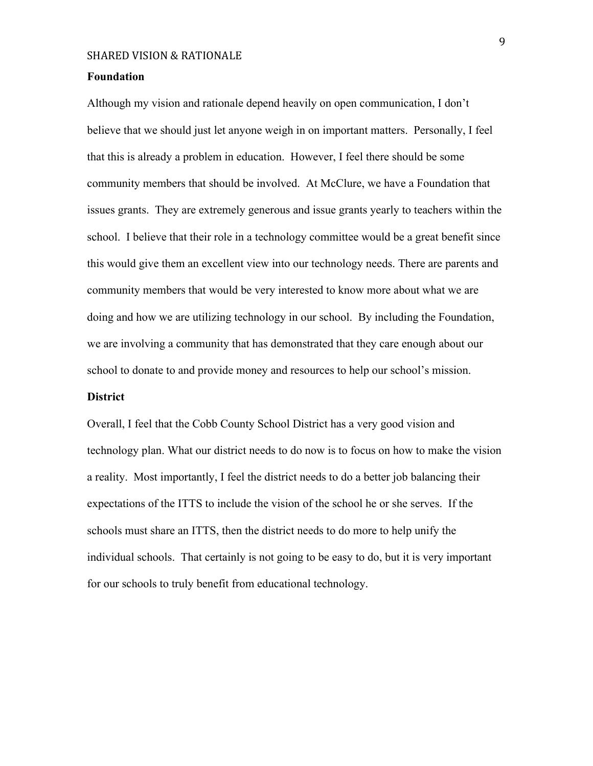### **Foundation**

Although my vision and rationale depend heavily on open communication, I don't believe that we should just let anyone weigh in on important matters. Personally, I feel that this is already a problem in education. However, I feel there should be some community members that should be involved. At McClure, we have a Foundation that issues grants. They are extremely generous and issue grants yearly to teachers within the school. I believe that their role in a technology committee would be a great benefit since this would give them an excellent view into our technology needs. There are parents and community members that would be very interested to know more about what we are doing and how we are utilizing technology in our school. By including the Foundation, we are involving a community that has demonstrated that they care enough about our school to donate to and provide money and resources to help our school's mission.

## **District**

Overall, I feel that the Cobb County School District has a very good vision and technology plan. What our district needs to do now is to focus on how to make the vision a reality. Most importantly, I feel the district needs to do a better job balancing their expectations of the ITTS to include the vision of the school he or she serves. If the schools must share an ITTS, then the district needs to do more to help unify the individual schools. That certainly is not going to be easy to do, but it is very important for our schools to truly benefit from educational technology.